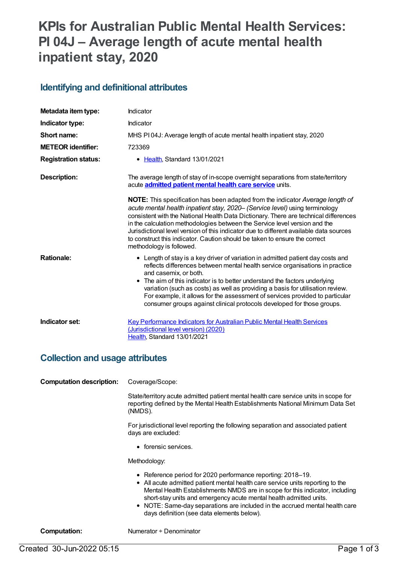# **KPIs for Australian Public Mental Health Services: PI 04J – Average length of acute mental health inpatient stay, 2020**

#### **Identifying and definitional attributes**

| Metadata item type:         | Indicator                                                                                                                                                                                                                                                                                                                                                                                                                                                                                                                               |
|-----------------------------|-----------------------------------------------------------------------------------------------------------------------------------------------------------------------------------------------------------------------------------------------------------------------------------------------------------------------------------------------------------------------------------------------------------------------------------------------------------------------------------------------------------------------------------------|
| Indicator type:             | Indicator                                                                                                                                                                                                                                                                                                                                                                                                                                                                                                                               |
| Short name:                 | MHS PI04J: Average length of acute mental health inpatient stay, 2020                                                                                                                                                                                                                                                                                                                                                                                                                                                                   |
| <b>METEOR identifier:</b>   | 723369                                                                                                                                                                                                                                                                                                                                                                                                                                                                                                                                  |
| <b>Registration status:</b> | • Health, Standard 13/01/2021                                                                                                                                                                                                                                                                                                                                                                                                                                                                                                           |
| <b>Description:</b>         | The average length of stay of in-scope overnight separations from state/territory<br>acute <b>admitted patient mental health care service</b> units.                                                                                                                                                                                                                                                                                                                                                                                    |
|                             | NOTE: This specification has been adapted from the indicator Average length of<br>acute mental health inpatient stay, 2020- (Service level) using terminology<br>consistent with the National Health Data Dictionary. There are technical differences<br>in the calculation methodologies between the Service level version and the<br>Jurisdictional level version of this indicator due to different available data sources<br>to construct this indicator. Caution should be taken to ensure the correct<br>methodology is followed. |
| <b>Rationale:</b>           | • Length of stay is a key driver of variation in admitted patient day costs and<br>reflects differences between mental health service organisations in practice<br>and casemix, or both.<br>• The aim of this indicator is to better understand the factors underlying<br>variation (such as costs) as well as providing a basis for utilisation review.<br>For example, it allows for the assessment of services provided to particular<br>consumer groups against clinical protocols developed for those groups.                      |
| Indicator set:              | <b>Key Performance Indicators for Australian Public Mental Health Services</b><br>(Jurisdictional level version) (2020)<br>Health, Standard 13/01/2021                                                                                                                                                                                                                                                                                                                                                                                  |

#### **Collection and usage attributes**

**Computation description:** Coverage/Scope:

State/territory acute admitted patient mental health care service units in scope for reporting defined by the Mental Health Establishments National Minimum Data Set (NMDS).

For jurisdictional level reporting the following separation and associated patient days are excluded:

• forensic services.

Methodology:

- Reference period for 2020 performance reporting: 2018–19.
- All acute admitted patient mental health care service units reporting to the Mental Health Establishments NMDS are in scope for this indicator, including short-stay units and emergency acute mental health admitted units.
- NOTE: Same-day separations are included in the accrued mental health care days definition (see data elements below).

**Computation:** Numerator ÷ Denominator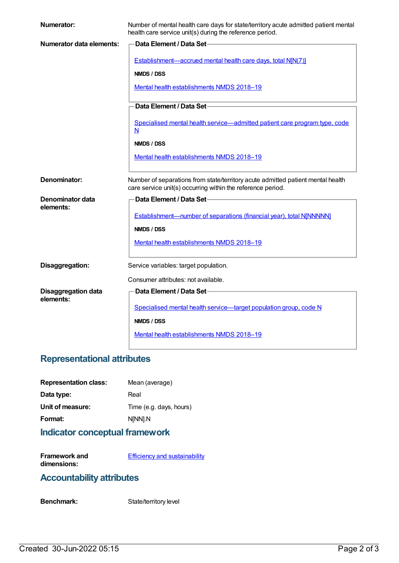| <b>Numerator:</b>          | Number of mental health care days for state/territory acute admitted patient mental<br>health care service unit(s) during the reference period. |
|----------------------------|-------------------------------------------------------------------------------------------------------------------------------------------------|
| Numerator data elements:   | <b>Data Element / Data Set-</b>                                                                                                                 |
|                            | Establishment—accrued mental health care days, total N[N(7)]                                                                                    |
|                            | NMDS / DSS                                                                                                                                      |
|                            | Mental health establishments NMDS 2018-19                                                                                                       |
|                            | Data Element / Data Set-                                                                                                                        |
|                            |                                                                                                                                                 |
|                            | Specialised mental health service—admitted patient care program type, code<br>N                                                                 |
|                            | NMDS / DSS                                                                                                                                      |
|                            | Mental health establishments NMDS 2018-19                                                                                                       |
|                            |                                                                                                                                                 |
| Denominator:               | Number of separations from state/territory acute admitted patient mental health<br>care service unit(s) occurring within the reference period.  |
| Denominator data           | Data Element / Data Set-                                                                                                                        |
| elements:                  |                                                                                                                                                 |
|                            | Establishment-number of separations (financial year), total N[NNNNN]                                                                            |
|                            | NMDS / DSS                                                                                                                                      |
|                            | Mental health establishments NMDS 2018-19                                                                                                       |
| Disaggregation:            | Service variables: target population.                                                                                                           |
|                            | Consumer attributes: not available.                                                                                                             |
| <b>Disaggregation data</b> | Data Element / Data Set-                                                                                                                        |
| elements:                  |                                                                                                                                                 |
|                            | Specialised mental health service-target population group, code N                                                                               |
|                            | NMDS / DSS                                                                                                                                      |
|                            | Mental health establishments NMDS 2018-19                                                                                                       |

# **Representational attributes**

| Mean (average)          |
|-------------------------|
| Real                    |
| Time (e.g. days, hours) |
| N[NN].N                 |
|                         |

# **Indicator conceptual framework**

**Framework and dimensions: Efficiency and [sustainability](https://meteor.aihw.gov.au/content/721208)** 

### **Accountability attributes**

Benchmark: State/territory level